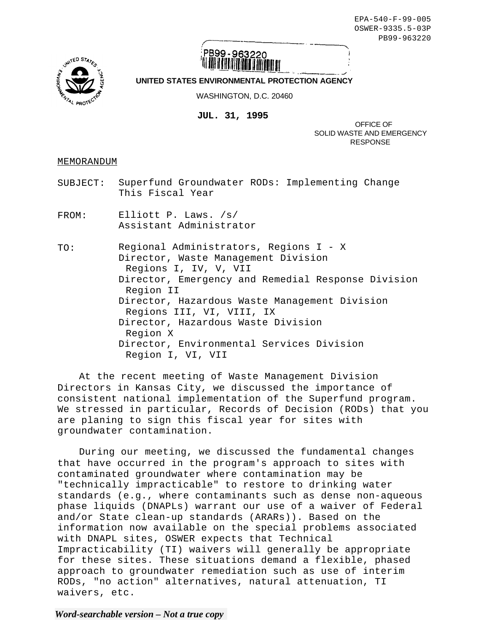EPA-540-F-99-005 OSWER-9335.5-03P PB99-963220



## PB99-963220

## **UNITED STATES ENVIRONMENTAL PROTECTION AGENCY**

WASHINGTON, D.C. 20460

**JUL. 31, 1995** 

OFFICE OF SOLID WASTE AND EMERGENCY RESPONSE

MEMORANDUM

- SUBJECT: Superfund Groundwater RODs: Implementing Change This Fiscal Year
- FROM: Elliott P. Laws. /s/ Assistant Administrator

TO: Regional Administrators, Regions I - X Director, Waste Management Division Regions I, IV, V, VII Director, Emergency and Remedial Response Division Region II Director, Hazardous Waste Management Division Regions III, VI, VIII, IX Director, Hazardous Waste Division Region X Director, Environmental Services Division Region I, VI, VII

At the recent meeting of Waste Management Division Directors in Kansas City, we discussed the importance of consistent national implementation of the Superfund program. We stressed in particular, Records of Decision (RODs) that you are planing to sign this fiscal year for sites with groundwater contamination.

During our meeting, we discussed the fundamental changes that have occurred in the program's approach to sites with contaminated groundwater where contamination may be "technically impracticable" to restore to drinking water standards (e.g., where contaminants such as dense non-aqueous phase liquids (DNAPLs) warrant our use of a waiver of Federal and/or State clean-up standards (ARARs)). Based on the information now available on the special problems associated with DNAPL sites, OSWER expects that Technical Impracticability (TI) waivers will generally be appropriate for these sites. These situations demand a flexible, phased approach to groundwater remediation such as use of interim RODs, "no action" alternatives, natural attenuation, TI waivers, etc.

*Word-searchable version – Not a true copy*